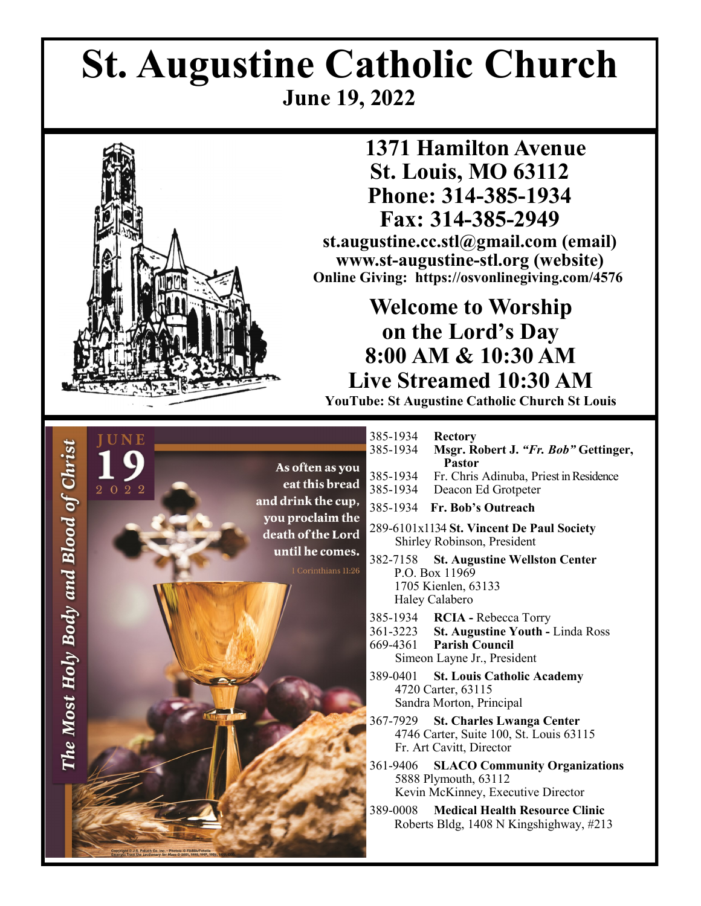# **St. Augustine Catholic Church June 19, 2022**



## **1371 Hamilton Avenue St. Louis, MO 63112 Phone: 314-385-1934 Fax: 314-385-2949**

**st.augustine.cc.stl@gmail.com (email) www.st-augustine-stl.org (website) Online Giving: https://osvonlinegiving.com/4576**

## **Welcome to Worship on the Lord's Day 8:00 AM & 10:30 AM Live Streamed 10:30 AM**

**YouTube: St Augustine Catholic Church St Louis**

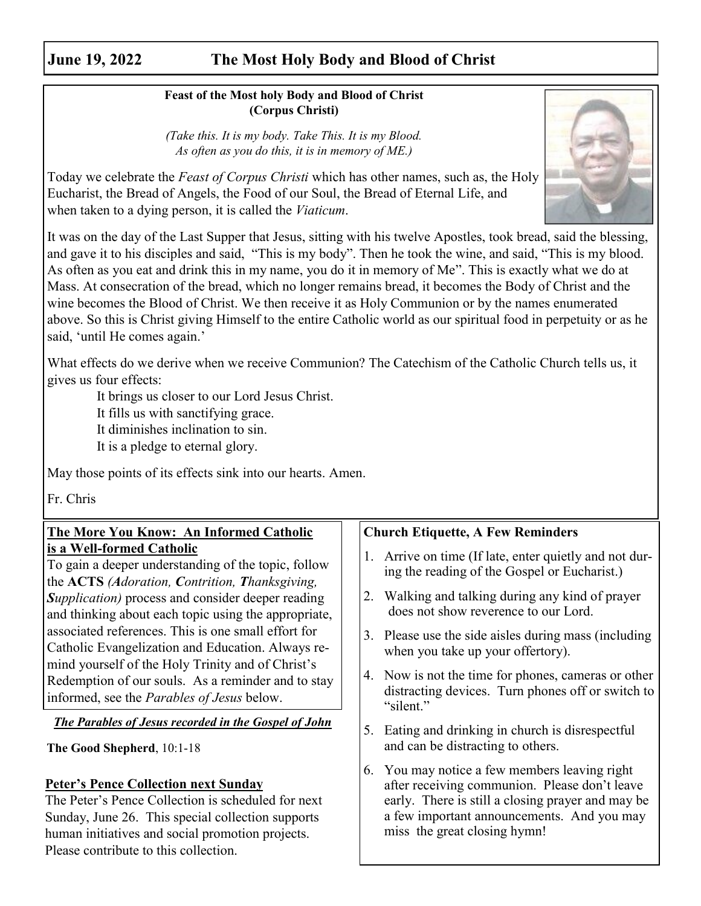### **June 19, 2022 The Most Holy Body and Blood of Christ**

#### **Feast of the Most holy Body and Blood of Christ (Corpus Christi)**

*(Take this. It is my body. Take This. It is my Blood. As often as you do this, it is in memory of ME.)*



Today we celebrate the *Feast of Corpus Christi* which has other names, such as, the Holy Eucharist, the Bread of Angels, the Food of our Soul, the Bread of Eternal Life, and when taken to a dying person, it is called the *Viaticum*.

It was on the day of the Last Supper that Jesus, sitting with his twelve Apostles, took bread, said the blessing, and gave it to his disciples and said, "This is my body". Then he took the wine, and said, "This is my blood. As often as you eat and drink this in my name, you do it in memory of Me". This is exactly what we do at Mass. At consecration of the bread, which no longer remains bread, it becomes the Body of Christ and the wine becomes the Blood of Christ. We then receive it as Holy Communion or by the names enumerated above. So this is Christ giving Himself to the entire Catholic world as our spiritual food in perpetuity or as he said, 'until He comes again.'

What effects do we derive when we receive Communion? The Catechism of the Catholic Church tells us, it gives us four effects:

It brings us closer to our Lord Jesus Christ.

It fills us with sanctifying grace.

It diminishes inclination to sin.

It is a pledge to eternal glory.

May those points of its effects sink into our hearts. Amen.

Fr. Chris

#### **The More You Know: An Informed Catholic is a Well-formed Catholic**

To gain a deeper understanding of the topic, follow the **ACTS** *(Adoration, Contrition, Thanksgiving, Supplication)* process and consider deeper reading and thinking about each topic using the appropriate, associated references. This is one small effort for Catholic Evangelization and Education. Always remind yourself of the Holy Trinity and of Christ's Redemption of our souls. As a reminder and to stay informed, see the *Parables of Jesus* below.

*The Parables of Jesus recorded in the Gospel of John*

**The Good Shepherd**, 10:1-18

#### **Peter's Pence Collection next Sunday**

The Peter's Pence Collection is scheduled for next Sunday, June 26. This special collection supports human initiatives and social promotion projects. Please contribute to this collection.

#### **Church Etiquette, A Few Reminders**

- 1. Arrive on time (If late, enter quietly and not during the reading of the Gospel or Eucharist.)
- 2. Walking and talking during any kind of prayer does not show reverence to our Lord.
- 3. Please use the side aisles during mass (including when you take up your offertory).
- 4. Now is not the time for phones, cameras or other distracting devices. Turn phones off or switch to "silent."
- 5. Eating and drinking in church is disrespectful and can be distracting to others.
- 6. You may notice a few members leaving right after receiving communion. Please don't leave early. There is still a closing prayer and may be a few important announcements. And you may miss the great closing hymn!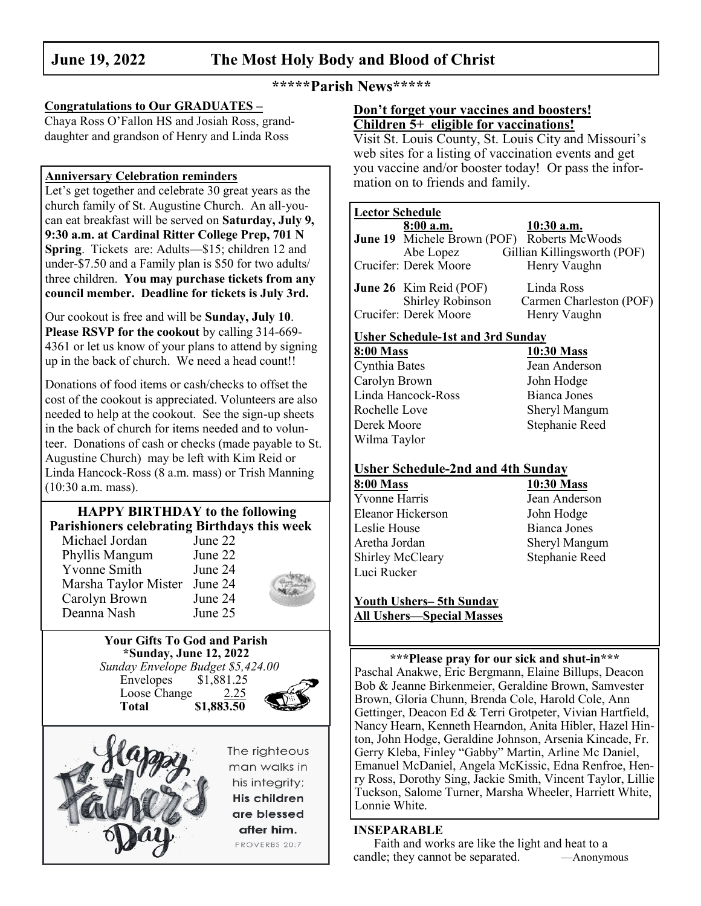#### **June 19, 2022 The Most Holy Body and Blood of Christ**

#### **\*\*\*\*\*Parish News\*\*\*\*\***

#### **Congratulations to Our GRADUATES –**

Chaya Ross O'Fallon HS and Josiah Ross, granddaughter and grandson of Henry and Linda Ross

Let's get together and celebrate 30 great years as the church family of St. Augustine Church. An all-youcan eat breakfast will be served on **Saturday, July 9, 9:30 a.m. at Cardinal Ritter College Prep, 701 N Spring.** Tickets are: Adults—\$15; children 12 and under-\$7.50 and a Family plan is \$50 for two adults/ three children. **You may purchase tickets from any council member. Deadline for tickets is July 3rd.**

Our cookout is free and will be **Sunday, July 10**. **Please RSVP for the cookout** by calling 314-669- 4361 or let us know of your plans to attend by signing up in the back of church. We need a head count!!

Donations of food items or cash/checks to offset the cost of the cookout is appreciated. Volunteers are also needed to help at the cookout. See the sign-up sheets in the back of church for items needed and to volunteer. Donations of cash or checks (made payable to St. Augustine Church) may be left with Kim Reid or Linda Hancock-Ross (8 a.m. mass) or Trish Manning (10:30 a.m. mass).

#### **HAPPY BIRTHDAY to the following Parishioners celebrating Birthdays this week**

| Michael Jordan       | June 22 |  |
|----------------------|---------|--|
| Phyllis Mangum       | June 22 |  |
| <b>Yvonne Smith</b>  | June 24 |  |
| Marsha Taylor Mister | June 24 |  |
| Carolyn Brown        | June 24 |  |
| Deanna Nash          | June 25 |  |
|                      |         |  |

#### **Your Gifts To God and Parish \*Sunday, June 12, 2022**

 *Sunday Envelope Budget \$5,424.00* Envelopes \$1,881.25 Loose Change 2.25 **Total \$1,883.50**



The righteous man walks in his intearity; His children are blessed after him. PROVERBS 20:7

#### **Don't forget your vaccines and boosters! Children 5+ eligible for vaccinations!**

Visit St. Louis County, St. Louis City and Missouri's web sites for a listing of vaccination events and get you vaccine and/or booster today! Or pass the information on to friends and family. **Anniversary Celebration reminders**

#### **Lector Schedule**

|                  | 8:00 a.m.                                | 10:30 a.m.                                         |
|------------------|------------------------------------------|----------------------------------------------------|
|                  |                                          | <b>June 19</b> Michele Brown (POF) Roberts McWoods |
|                  | Abe Lopez                                | Gillian Killingsworth (POF)                        |
|                  | Crucifer: Derek Moore                    | Henry Vaughn                                       |
|                  | <b>June 26</b> Kim Reid (POF)            | Linda Ross                                         |
|                  | Shirley Robinson                         | Carmen Charleston (POF)                            |
|                  | Crucifer: Derek Moore                    | Henry Vaughn                                       |
|                  | <b>Usher Schedule-1st and 3rd Sunday</b> |                                                    |
| <b>8:00 Mass</b> |                                          | 10:30 Mass                                         |
| Cynthia Bates    |                                          | Jean Anderson                                      |
| Carolyn Brown    |                                          | John Hodge                                         |
|                  | Linda Hancock-Ross                       | Bianca Jones                                       |
| Rochelle Love    |                                          | Sheryl Mangum                                      |
| Derek Moore      |                                          | Stephanie Reed                                     |
| Wilma Taylor     |                                          |                                                    |
|                  |                                          |                                                    |

#### **Usher Schedule-2nd and 4th Sunday**

**8:00 Mass 10:30 Mass** Yvonne Harris Jean Anderson Eleanor Hickerson John Hodge Leslie House Bianca Jones Aretha Jordan Sheryl Mangum Shirley McCleary Stephanie Reed Luci Rucker

#### **Youth Ushers– 5th Sunday All Ushers—Special Masses**

**\*\*\*Please pray for our sick and shut-in\*\*\*** Paschal Anakwe, Eric Bergmann, Elaine Billups, Deacon Bob & Jeanne Birkenmeier, Geraldine Brown, Samvester Brown, Gloria Chunn, Brenda Cole, Harold Cole, Ann Gettinger, Deacon Ed & Terri Grotpeter, Vivian Hartfield, Nancy Hearn, Kenneth Hearndon, Anita Hibler, Hazel Hinton, John Hodge, Geraldine Johnson, Arsenia Kincade, Fr. Gerry Kleba, Finley "Gabby" Martin, Arline Mc Daniel, Emanuel McDaniel, Angela McKissic, Edna Renfroe, Henry Ross, Dorothy Sing, Jackie Smith, Vincent Taylor, Lillie Tuckson, Salome Turner, Marsha Wheeler, Harriett White, Lonnie White.

#### **INSEPARABLE**

Faith and works are like the light and heat to a candle; they cannot be separated. —Anonymous